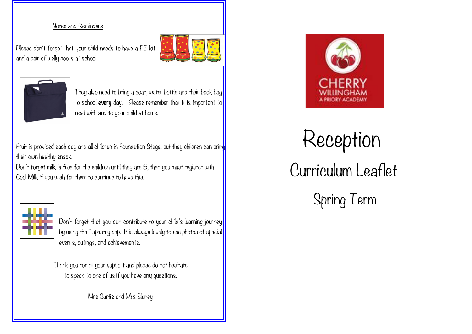#### Notes and Reminders

Please don't forget that your child needs to have a PE kit and a pair of welly boots at school.





They also need to bring a coat, water bottle and their book bag to school every day. Please remember that it is important to read with and to your child at home.

Fruit is provided each day and all children in Foundation Stage, but they children can bring their own healthy snack.

Don't forget milk is free for the children until they are 5, then you must register with Cool Milk if you wish for them to continue to have this.



Don't forget that you can contribute to your child's learning journey by using the Tapestry app. It is always lovely to see photos of special events, outings, and achievements.

Thank you for all your support and please do not hesitate to speak to one of us if you have any questions.

Mrs Curtis and Mrs Slaney



# Reception Curriculum Leaflet

Spring Term